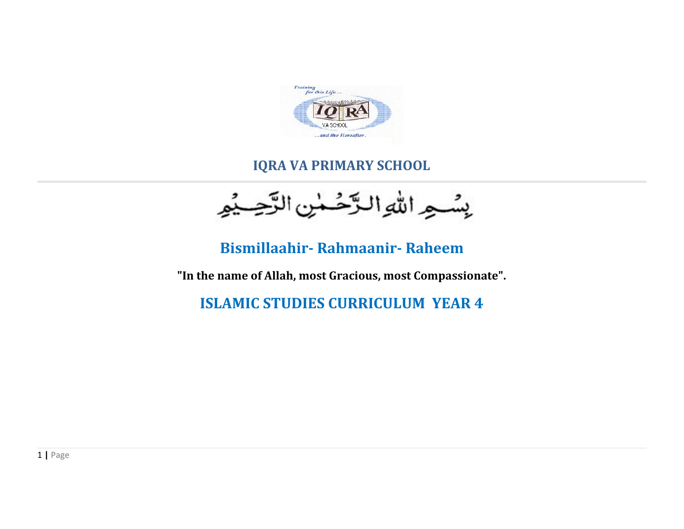

## **IQRA VA PRIMARY SCHOOL**

بِسُواللهِ الزَّحُسٰنِ الزَّحِيْهِ

## **Bismillaahir- Rahmaanir- Raheem**

**"In the name of Allah, most Gracious, most Compassionate".**

**ISLAMIC STUDIES CURRICULUM YEAR 4**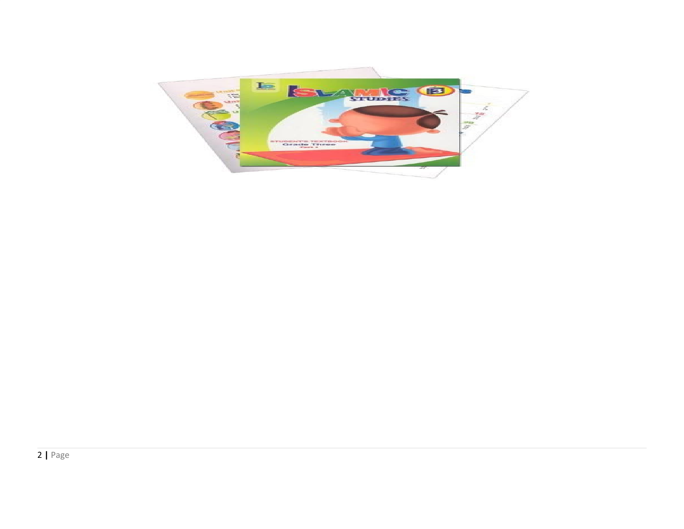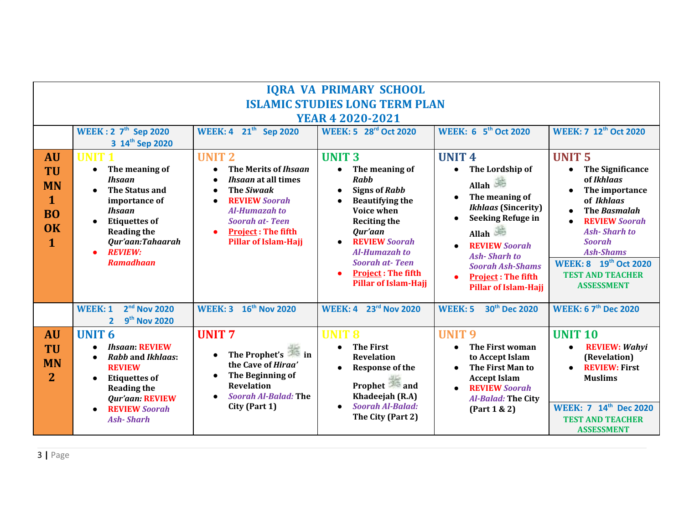| <b>IQRA VA PRIMARY SCHOOL</b><br><b>ISLAMIC STUDIES LONG TERM PLAN</b><br><b>YEAR 4 2020-2021</b> |                                                                                                                                                                                                                                                   |                                                                                                                                                                                                                                      |                                                                                                                                                                                                                                                                                                                              |                                                                                                                                                                                                                                                                                    |                                                                                                                                                                                                                                                                     |  |  |  |
|---------------------------------------------------------------------------------------------------|---------------------------------------------------------------------------------------------------------------------------------------------------------------------------------------------------------------------------------------------------|--------------------------------------------------------------------------------------------------------------------------------------------------------------------------------------------------------------------------------------|------------------------------------------------------------------------------------------------------------------------------------------------------------------------------------------------------------------------------------------------------------------------------------------------------------------------------|------------------------------------------------------------------------------------------------------------------------------------------------------------------------------------------------------------------------------------------------------------------------------------|---------------------------------------------------------------------------------------------------------------------------------------------------------------------------------------------------------------------------------------------------------------------|--|--|--|
|                                                                                                   | <b>WEEK: 2 7<sup>th</sup> Sep 2020</b><br>3 14th Sep 2020                                                                                                                                                                                         | 21 <sup>th</sup> Sep 2020<br><b>WEEK: 4</b>                                                                                                                                                                                          | <b>WEEK: 5 28rd Oct 2020</b>                                                                                                                                                                                                                                                                                                 | <b>WEEK: 6 5<sup>th</sup> Oct 2020</b>                                                                                                                                                                                                                                             | <b>WEEK: 7 12th Oct 2020</b>                                                                                                                                                                                                                                        |  |  |  |
| <b>AU</b><br><b>TU</b><br><b>MN</b><br>1<br><b>BO</b><br><b>OK</b><br>1                           | <b>UNIT</b><br>The meaning of<br>$\bullet$<br><b>Ihsaan</b><br>The Status and<br>$\bullet$<br>importance of<br><b>Ihsaan</b><br><b>Etiquettes of</b><br><b>Reading the</b><br>Qur'aan:Tahaarah<br><b>REVIEW:</b><br>$\bullet$<br><b>Ramadhaan</b> | <b>UNIT 2</b><br>The Merits of <i>Ihsaan</i><br><i>Ihsaan</i> at all times<br><b>The Siwaak</b><br><b>REVIEW Soorah</b><br><b>Al-Humazah to</b><br><b>Soorah at-Teen</b><br><b>Project: The fifth</b><br><b>Pillar of Islam-Hajj</b> | <b>UNIT 3</b><br>The meaning of<br>$\bullet$<br><b>Rabb</b><br><b>Signs of Rabb</b><br>$\bullet$<br><b>Beautifying the</b><br>$\bullet$<br>Voice when<br><b>Reciting the</b><br>Qur'aan<br><b>REVIEW Soorah</b><br><b>Al-Humazah to</b><br><b>Soorah at-Teen</b><br><b>Project: The fifth</b><br><b>Pillar of Islam-Hajj</b> | <b>UNIT 4</b><br>The Lordship of<br>Allah<br>The meaning of<br><b>Ikhlaas</b> (Sincerity)<br><b>Seeking Refuge in</b><br>Allah $\frac{1}{2}$<br><b>REVIEW Soorah</b><br><b>Ash-Sharh to</b><br><b>Soorah Ash-Shams</b><br><b>Project: The fifth</b><br><b>Pillar of Islam-Hajj</b> | <b>UNIT 5</b><br>The Significance<br>of Ikhlaas<br>The importance<br>of Ikhlaas<br><b>The Basmalah</b><br><b>REVIEW Soorah</b><br><b>Ash-Sharh to</b><br><b>Soorah</b><br><b>Ash-Shams</b><br>WEEK: 8 19th Oct 2020<br><b>TEST AND TEACHER</b><br><b>ASSESSMENT</b> |  |  |  |
|                                                                                                   | 2 <sup>nd</sup> Nov 2020<br>WEEK: 1<br>9 <sup>th</sup> Nov 2020<br>$\overline{2}$                                                                                                                                                                 | <b>WEEK: 3 16th Nov 2020</b>                                                                                                                                                                                                         | 23rd Nov 2020<br><b>WEEK: 4</b>                                                                                                                                                                                                                                                                                              | 30 <sup>th</sup> Dec 2020<br><b>WEEK: 5</b>                                                                                                                                                                                                                                        | <b>WEEK: 6 7th Dec 2020</b>                                                                                                                                                                                                                                         |  |  |  |
| <b>AU</b><br><b>TU</b><br><b>MN</b><br>$\overline{2}$                                             | <b>UNIT 6</b><br><b>Ihsaan REVIEW</b><br><b>Rabb and Ikhlaas:</b><br>$\bullet$<br><b>REVIEW</b><br><b>Etiquettes of</b><br><b>Reading the</b><br><b>Qur'aan: REVIEW</b><br><b>REVIEW Soorah</b><br><b>Ash-Sharh</b>                               | <b>UNIT7</b><br>The Prophet's in<br>$\bullet$<br>the Cave of Hiraa'<br>The Beginning of<br><b>Revelation</b><br><b>Soorah Al-Balad: The</b><br>City (Part 1)                                                                         | <b>UNIT 8</b><br><b>The First</b><br><b>Revelation</b><br><b>Response of the</b><br>$\bullet$<br>Prophet and<br>Khadeejah (R.A)<br><b>Soorah Al-Balad:</b><br>$\bullet$<br>The City (Part 2)                                                                                                                                 | <b>UNIT 9</b><br>The First woman<br>to Accept Islam<br>The First Man to<br>$\bullet$<br><b>Accept Islam</b><br><b>REVIEW Soorah</b><br><b>Al-Balad: The City</b><br>(Part 1 & 2)                                                                                                   | <b>UNIT 10</b><br><b>REVIEW: Wahyi</b><br>(Revelation)<br><b>REVIEW: First</b><br><b>Muslims</b><br>WEEK: 7 14th Dec 2020<br><b>TEST AND TEACHER</b><br><b>ASSESSMENT</b>                                                                                           |  |  |  |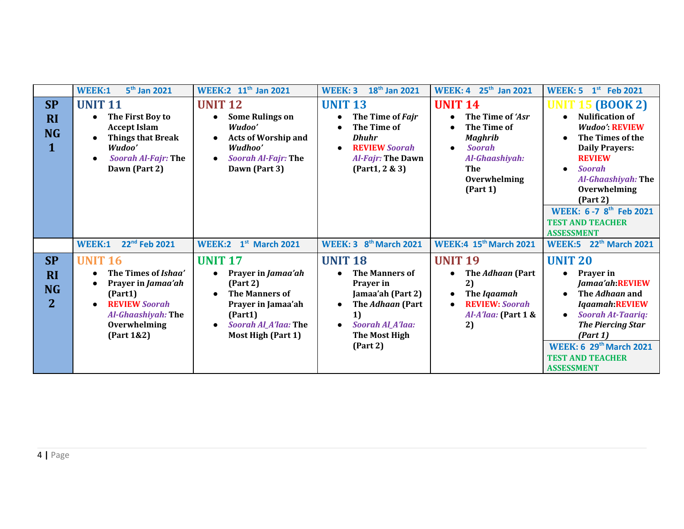|                                                       | 5 <sup>th</sup> Jan 2021<br><b>WEEK:1</b>                                                                                                                                    | <b>WEEK:2</b> 11 <sup>th</sup> Jan 2021                                                                                                                         | 18 <sup>th</sup> Jan 2021<br><b>WEEK: 3</b>                                                                                                                                           | WEEK: 4 25th Jan 2021                                                                                                                                   | <b>WEEK: 5</b> 1st Feb 2021                                                                                                                                                                                                                                                                                                                    |
|-------------------------------------------------------|------------------------------------------------------------------------------------------------------------------------------------------------------------------------------|-----------------------------------------------------------------------------------------------------------------------------------------------------------------|---------------------------------------------------------------------------------------------------------------------------------------------------------------------------------------|---------------------------------------------------------------------------------------------------------------------------------------------------------|------------------------------------------------------------------------------------------------------------------------------------------------------------------------------------------------------------------------------------------------------------------------------------------------------------------------------------------------|
| <b>SP</b><br><b>RI</b><br><b>NG</b><br>1              | <b>UNIT 11</b><br>The First Boy to<br>$\bullet$<br><b>Accept Islam</b><br><b>Things that Break</b><br>$\bullet$<br>Wudoo'<br><b>Soorah Al-Fajr: The</b><br>Dawn (Part 2)     | <b>UNIT 12</b><br><b>Some Rulings on</b><br>Wudoo'<br><b>Acts of Worship and</b><br>Wudhoo'<br><b>Soorah Al-Fajr: The</b><br>Dawn (Part 3)                      | <b>UNIT 13</b><br>The Time of Fajr<br>The Time of<br><b>Dhuhr</b><br><b>REVIEW Soorah</b><br>$\bullet$<br><b>Al-Fajr: The Dawn</b><br>(Part1, 2 & 3)                                  | <b>UNIT 14</b><br>The Time of 'Asr<br><b>The Time of</b><br><b>Maghrib</b><br><b>Soorah</b><br>Al-Ghaashiyah:<br>The<br><b>Overwhelming</b><br>(Part 1) | <b>UNIT 15 (BOOK 2)</b><br><b>Nulification of</b><br>$\bullet$<br><b>Wudoo' REVIEW</b><br>The Times of the<br>$\bullet$<br><b>Daily Prayers:</b><br><b>REVIEW</b><br><b>Soorah</b><br>$\bullet$<br>Al-Ghaashiyah: The<br><b>Overwhelming</b><br>(Part 2)<br>WEEK: 6-7 8 <sup>th</sup> Feb 2021<br><b>TEST AND TEACHER</b><br><b>ASSESSMENT</b> |
|                                                       | 22 <sup>nd</sup> Feb 2021<br><b>WEEK:1</b>                                                                                                                                   | <b>WEEK:2</b> 1st March 2021                                                                                                                                    | <b>WEEK: 3 8th March 2021</b>                                                                                                                                                         | <b>WEEK:4 15th March 2021</b>                                                                                                                           | <b>WEEK:5</b> 22 <sup>th</sup> March 2021                                                                                                                                                                                                                                                                                                      |
| <b>SP</b><br><b>RI</b><br><b>NG</b><br>$\overline{2}$ | <b>UNIT 16</b><br>The Times of Ishaa'<br>$\bullet$<br>Prayer in Jamaa'ah<br>(Part1)<br><b>REVIEW Soorah</b><br>$\bullet$<br>Al-Ghaashiyah: The<br>Overwhelming<br>(Part 1&2) | <b>UNIT 17</b><br>Prayer in Jamaa'ah<br>(Part 2)<br><b>The Manners of</b><br>Prayer in Jamaa'ah<br>(Part1)<br>Soorah Al_A'laa: The<br><b>Most High (Part 1)</b> | <b>UNIT 18</b><br><b>The Manners of</b><br><b>Prayer in</b><br>Jamaa'ah (Part 2)<br>The Adhaan (Part<br>$\bullet$<br>1)<br>Soorah Al_A'laa:<br>$\bullet$<br>The Most High<br>(Part 2) | <b>UNIT 19</b><br>The Adhaan (Part<br>2)<br>The <i>Igaamah</i><br><b>REVIEW: Soorah</b><br>Al-A'laa: (Part 1 &<br>2)                                    | <b>UNIT 20</b><br><b>Prayer in</b><br>$\bullet$<br>Jamaa'ah:REVIEW<br>The Adhaan and<br><b>Igaamah:REVIEW</b><br><b>Soorah At-Taariq:</b><br>$\bullet$<br><b>The Piercing Star</b><br>(Part 1)<br><b>WEEK: 6 29th March 2021</b><br><b>TEST AND TEACHER</b><br><b>ASSESSMENT</b>                                                               |